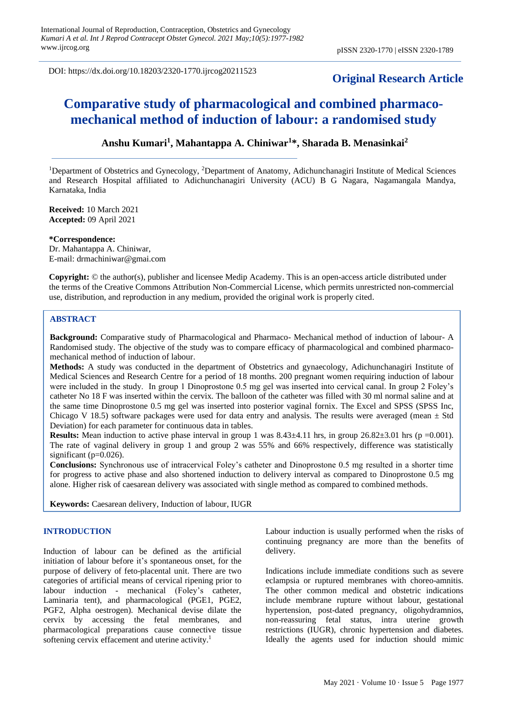DOI: https://dx.doi.org/10.18203/2320-1770.ijrcog20211523

# **Original Research Article**

# **Comparative study of pharmacological and combined pharmacomechanical method of induction of labour: a randomised study**

## **Anshu Kumari<sup>1</sup> , Mahantappa A. Chiniwar<sup>1</sup> \*, Sharada B. Menasinkai<sup>2</sup>**

<sup>1</sup>Department of Obstetrics and Gynecology, <sup>2</sup>Department of Anatomy, Adichunchanagiri Institute of Medical Sciences and Research Hospital affiliated to Adichunchanagiri University (ACU) B G Nagara, Nagamangala Mandya, Karnataka, India

**Received:** 10 March 2021 **Accepted:** 09 April 2021

#### **\*Correspondence:**

Dr. Mahantappa A. Chiniwar, E-mail: drmachiniwar@gmai.com

**Copyright:** © the author(s), publisher and licensee Medip Academy. This is an open-access article distributed under the terms of the Creative Commons Attribution Non-Commercial License, which permits unrestricted non-commercial use, distribution, and reproduction in any medium, provided the original work is properly cited.

## **ABSTRACT**

**Background:** Comparative study of Pharmacological and Pharmaco- Mechanical method of induction of labour- A Randomised study. The objective of the study was to compare efficacy of pharmacological and combined pharmacomechanical method of induction of labour.

**Methods:** A study was conducted in the department of Obstetrics and gynaecology, Adichunchanagiri Institute of Medical Sciences and Research Centre for a period of 18 months. 200 pregnant women requiring induction of labour were included in the study. In group 1 Dinoprostone 0.5 mg gel was inserted into cervical canal. In group 2 Foley's catheter No 18 F was inserted within the cervix. The balloon of the catheter was filled with 30 ml normal saline and at the same time Dinoprostone 0.5 mg gel was inserted into posterior vaginal fornix. The Excel and SPSS (SPSS Inc, Chicago V 18.5) software packages were used for data entry and analysis. The results were averaged (mean  $\pm$  Std Deviation) for each parameter for continuous data in tables.

**Results:** Mean induction to active phase interval in group 1 was  $8.43\pm4.11$  hrs, in group  $26.82\pm3.01$  hrs (p =0.001). The rate of vaginal delivery in group 1 and group 2 was 55% and 66% respectively, difference was statistically significant ( $p=0.026$ ).

**Conclusions:** Synchronous use of intracervical Foley's catheter and Dinoprostone 0.5 mg resulted in a shorter time for progress to active phase and also shortened induction to delivery interval as compared to Dinoprostone 0.5 mg alone. Higher risk of caesarean delivery was associated with single method as compared to combined methods.

**Keywords:** Caesarean delivery, Induction of labour, IUGR

#### **INTRODUCTION**

Induction of labour can be defined as the artificial initiation of labour before it's spontaneous onset, for the purpose of delivery of feto-placental unit. There are two categories of artificial means of cervical ripening prior to labour induction - mechanical (Foley's catheter, Laminaria tent), and pharmacological (PGE1, PGE2, PGF2, Alpha oestrogen). Mechanical devise dilate the cervix by accessing the fetal membranes, and pharmacological preparations cause connective tissue softening cervix effacement and uterine activity.<sup>1</sup>

Labour induction is usually performed when the risks of continuing pregnancy are more than the benefits of delivery.

Indications include immediate conditions such as severe eclampsia or ruptured membranes with choreo-amnitis. The other common medical and obstetric indications include membrane rupture without labour, gestational hypertension, post-dated pregnancy, oligohydramnios, non-reassuring fetal status, intra uterine growth restrictions (IUGR), chronic hypertension and diabetes. Ideally the agents used for induction should mimic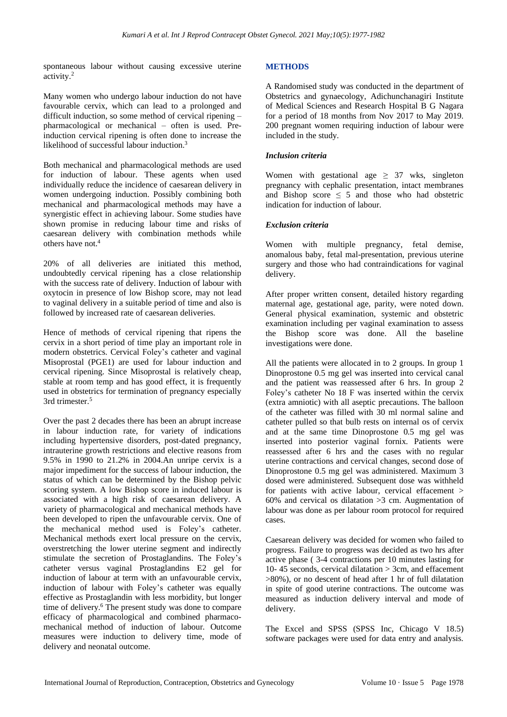spontaneous labour without causing excessive uterine activity.<sup>2</sup>

Many women who undergo labour induction do not have favourable cervix, which can lead to a prolonged and difficult induction, so some method of cervical ripening – pharmacological or mechanical – often is used. Preinduction cervical ripening is often done to increase the likelihood of successful labour induction.<sup>3</sup>

Both mechanical and pharmacological methods are used for induction of labour. These agents when used individually reduce the incidence of caesarean delivery in women undergoing induction. Possibly combining both mechanical and pharmacological methods may have a synergistic effect in achieving labour. Some studies have shown promise in reducing labour time and risks of caesarean delivery with combination methods while others have not.<sup>4</sup>

20% of all deliveries are initiated this method, undoubtedly cervical ripening has a close relationship with the success rate of delivery. Induction of labour with oxytocin in presence of low Bishop score, may not lead to vaginal delivery in a suitable period of time and also is followed by increased rate of caesarean deliveries.

Hence of methods of cervical ripening that ripens the cervix in a short period of time play an important role in modern obstetrics. Cervical Foley's catheter and vaginal Misoprostal (PGE1) are used for labour induction and cervical ripening. Since Misoprostal is relatively cheap, stable at room temp and has good effect, it is frequently used in obstetrics for termination of pregnancy especially 3rd trimester.<sup>5</sup>

Over the past 2 decades there has been an abrupt increase in labour induction rate, for variety of indications including hypertensive disorders, post-dated pregnancy, intrauterine growth restrictions and elective reasons from 9.5% in 1990 to 21.2% in 2004.An unripe cervix is a major impediment for the success of labour induction, the status of which can be determined by the Bishop pelvic scoring system. A low Bishop score in induced labour is associated with a high risk of caesarean delivery. A variety of pharmacological and mechanical methods have been developed to ripen the unfavourable cervix. One of the mechanical method used is Foley's catheter. Mechanical methods exert local pressure on the cervix, overstretching the lower uterine segment and indirectly stimulate the secretion of Prostaglandins. The Foley's catheter versus vaginal Prostaglandins E2 gel for induction of labour at term with an unfavourable cervix, induction of labour with Foley's catheter was equally effective as Prostaglandin with less morbidity, but longer time of delivery.<sup>6</sup> The present study was done to compare efficacy of pharmacological and combined pharmacomechanical method of induction of labour. Outcome measures were induction to delivery time, mode of delivery and neonatal outcome.

## **METHODS**

A Randomised study was conducted in the department of Obstetrics and gynaecology, Adichunchanagiri Institute of Medical Sciences and Research Hospital B G Nagara for a period of 18 months from Nov 2017 to May 2019. 200 pregnant women requiring induction of labour were included in the study.

#### *Inclusion criteria*

Women with gestational age  $\geq$  37 wks, singleton pregnancy with cephalic presentation, intact membranes and Bishop score  $\leq 5$  and those who had obstetric indication for induction of labour.

#### *Exclusion criteria*

Women with multiple pregnancy, fetal demise, anomalous baby, fetal mal-presentation, previous uterine surgery and those who had contraindications for vaginal delivery.

After proper written consent, detailed history regarding maternal age, gestational age, parity, were noted down. General physical examination, systemic and obstetric examination including per vaginal examination to assess the Bishop score was done. All the baseline investigations were done.

All the patients were allocated in to 2 groups. In group 1 Dinoprostone 0.5 mg gel was inserted into cervical canal and the patient was reassessed after 6 hrs. In group 2 Foley's catheter No 18 F was inserted within the cervix (extra amniotic) with all aseptic precautions. The balloon of the catheter was filled with 30 ml normal saline and catheter pulled so that bulb rests on internal os of cervix and at the same time Dinoprostone 0.5 mg gel was inserted into posterior vaginal fornix. Patients were reassessed after 6 hrs and the cases with no regular uterine contractions and cervical changes, second dose of Dinoprostone 0.5 mg gel was administered. Maximum 3 dosed were administered. Subsequent dose was withheld for patients with active labour, cervical effacement > 60% and cervical os dilatation >3 cm. Augmentation of labour was done as per labour room protocol for required cases.

Caesarean delivery was decided for women who failed to progress. Failure to progress was decided as two hrs after active phase ( 3-4 contractions per 10 minutes lasting for 10- 45 seconds, cervical dilatation > 3cm, and effacement >80%), or no descent of head after 1 hr of full dilatation in spite of good uterine contractions. The outcome was measured as induction delivery interval and mode of delivery.

The Excel and SPSS (SPSS Inc, Chicago V 18.5) software packages were used for data entry and analysis.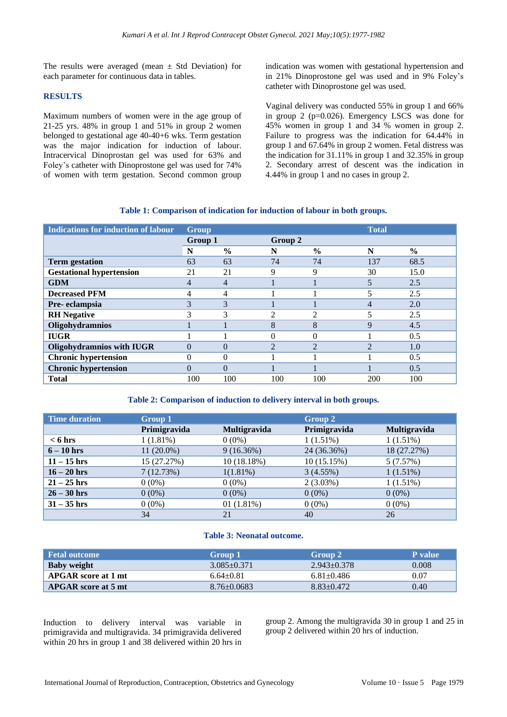The results were averaged (mean  $\pm$  Std Deviation) for each parameter for continuous data in tables.

#### **RESULTS**

Maximum numbers of women were in the age group of 21-25 yrs. 48% in group 1 and 51% in group 2 women belonged to gestational age 40-40+6 wks. Term gestation was the major indication for induction of labour. Intracervical Dinoprostan gel was used for 63% and Foley's catheter with Dinoprostone gel was used for 74% of women with term gestation. Second common group indication was women with gestational hypertension and in 21% Dinoprostone gel was used and in 9% Foley's catheter with Dinoprostone gel was used.

Vaginal delivery was conducted 55% in group 1 and 66% in group 2 (p=0.026). Emergency LSCS was done for 45% women in group 1 and 34 % women in group 2. Failure to progress was the indication for 64.44% in group 1 and 67.64% in group 2 women. Fetal distress was the indication for 31.11% in group 1 and 32.35% in group 2. Secondary arrest of descent was the indication in 4.44% in group 1 and no cases in group 2.

## **Table 1: Comparison of indication for induction of labour in both groups.**

| <b>Indications for induction of labour</b> | <b>Group</b> |                | <b>Total</b>   |                |                |               |
|--------------------------------------------|--------------|----------------|----------------|----------------|----------------|---------------|
|                                            | Group 1      |                | Group 2        |                |                |               |
|                                            | N            | $\frac{0}{0}$  | N              | $\frac{0}{0}$  | N              | $\frac{6}{6}$ |
| <b>Term</b> gestation                      | 63           | 63             | 74             | 74             | 137            | 68.5          |
| <b>Gestational hypertension</b>            | 21           | 21             | 9              | 9              | 30             | 15.0          |
| <b>GDM</b>                                 | 4            | $\overline{4}$ |                |                |                | 2.5           |
| <b>Decreased PFM</b>                       | 4            | 4              |                |                | 5              | 2.5           |
| Pre-eclampsia                              | 3            | 3              |                |                |                | 2.0           |
| <b>RH</b> Negative                         | 3            | 3              | $\overline{c}$ | 2              |                | 2.5           |
| Oligohydramnios                            |              |                | 8              | 8              | 9              | 4.5           |
| <b>IUGR</b>                                |              |                |                |                |                | 0.5           |
| <b>Oligohydramnios with IUGR</b>           | $\Omega$     | $\Omega$       | $\mathfrak{D}$ | $\mathfrak{D}$ | $\mathfrak{D}$ | 1.0           |
| <b>Chronic hypertension</b>                | 0            | $\Omega$       |                |                |                | 0.5           |
| <b>Chronic hypertension</b>                | $\Omega$     | $\Omega$       |                |                |                | 0.5           |
| <b>Total</b>                               | 100          | 100            | 100            | 100            | 200            | 100           |

#### **Table 2: Comparison of induction to delivery interval in both groups.**

| <b>Time duration</b> | Group 1      |              | Group 2      |              |
|----------------------|--------------|--------------|--------------|--------------|
|                      | Primigravida | Multigravida | Primigravida | Multigravida |
| $< 6$ hrs            | 1(1.81%)     | $0(0\%)$     | 1(1.51%)     | $1(1.51\%)$  |
| $6 - 10$ hrs         | $11(20.0\%)$ | 9(16.36%)    | 24 (36.36%)  | 18 (27.27%)  |
| $11 - 15$ hrs        | 15 (27.27%)  | 10(18.18%)   | 10(15.15%)   | 5(7.57%)     |
| $16 - 20$ hrs        | 7(12.73%)    | 1(1.81%)     | 3(4.55%)     | 1(1.51%)     |
| $21 - 25$ hrs        | $0(0\%)$     | $0(0\%)$     | 2(3.03%)     | $1(1.51\%)$  |
| $26 - 30$ hrs        | $0(0\%)$     | $0(0\%)$     | $0(0\%)$     | $0(0\%)$     |
| $31 - 35$ hrs        | $0(0\%)$     | 01(1.81%)    | $0(0\%)$     | $0(0\%)$     |
|                      | 34           | 21           | 40           | 26           |

#### **Table 3: Neonatal outcome.**

| Fetal outcome              | Group $1$         | Group 2          | <b>P</b> value |
|----------------------------|-------------------|------------------|----------------|
| <b>Baby weight</b>         | $3.085 + 0.371$   | $2.943 + 0.378$  | 0.008          |
| APGAR score at 1 mt        | $6.64 \pm 0.81$   | $6.81 \pm 0.486$ | 0.07           |
| <b>APGAR</b> score at 5 mt | $8.76 \pm 0.0683$ | $8.83 + 0.472$   | 0.40           |

Induction to delivery interval was variable in primigravida and multigravida. 34 primigravida delivered within 20 hrs in group 1 and 38 delivered within 20 hrs in group 2. Among the multigravida 30 in group 1 and 25 in group 2 delivered within 20 hrs of induction.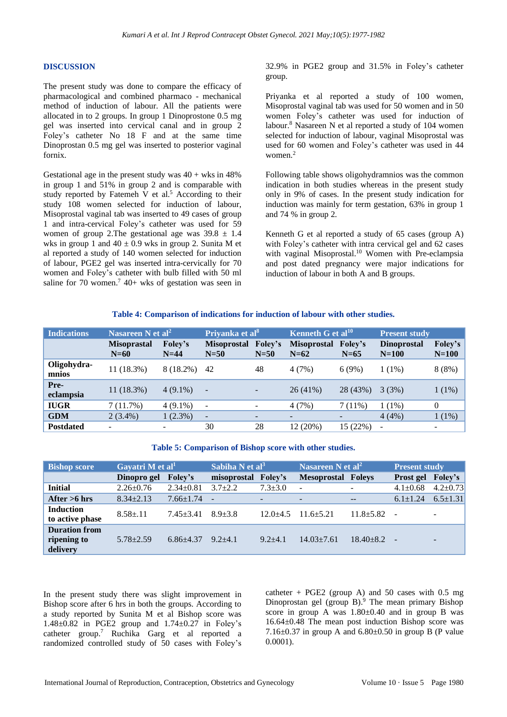#### **DISCUSSION**

The present study was done to compare the efficacy of pharmacological and combined pharmaco - mechanical method of induction of labour. All the patients were allocated in to 2 groups. In group 1 Dinoprostone 0.5 mg gel was inserted into cervical canal and in group 2 Foley's catheter No 18 F and at the same time Dinoprostan 0.5 mg gel was inserted to posterior vaginal fornix.

Gestational age in the present study was  $40 + w$ ks in  $48\%$ in group 1 and 51% in group 2 and is comparable with study reported by Fatemeh V et al. <sup>5</sup> According to their study 108 women selected for induction of labour, Misoprostal vaginal tab was inserted to 49 cases of group 1 and intra-cervical Foley's catheter was used for 59 women of group 2. The gestational age was  $39.8 \pm 1.4$ wks in group 1 and  $40 \pm 0.9$  wks in group 2. Sunita M et al reported a study of 140 women selected for induction of labour, PGE2 gel was inserted intra-cervically for 70 women and Foley's catheter with bulb filled with 50 ml saline for 70 women.<sup>7</sup> 40+ wks of gestation was seen in 32.9% in PGE2 group and 31.5% in Foley's catheter group.

Priyanka et al reported a study of 100 women, Misoprostal vaginal tab was used for 50 women and in 50 women Foley's catheter was used for induction of labour.<sup>8</sup> Nasareen N et al reported a study of 104 women selected for induction of labour, vaginal Misoprostal was used for 60 women and Foley's catheter was used in 44 women.<sup>2</sup>

Following table shows oligohydramnios was the common indication in both studies whereas in the present study only in 9% of cases. In the present study indication for induction was mainly for term gestation, 63% in group 1 and 74 % in group 2.

Kenneth G et al reported a study of 65 cases (group A) with Foley's catheter with intra cervical gel and 62 cases with vaginal Misoprostal.<sup>10</sup> Women with Pre-eclampsia and post dated pregnancy were major indications for induction of labour in both A and B groups.

#### **Table 4: Comparison of indications for induction of labour with other studies.**

| <b>Indications</b>   | Nasareen N et al <sup>2</sup> |                   | Priyanka et al <sup>8</sup>  |                          | Kenneth G et al $^{10}$      |                   | <b>Present study</b>          |                    |
|----------------------|-------------------------------|-------------------|------------------------------|--------------------------|------------------------------|-------------------|-------------------------------|--------------------|
|                      | <b>Misoprastal</b><br>$N=60$  | Foley's<br>$N=44$ | <b>Misoprostal</b><br>$N=50$ | Foley's<br>$N=50$        | <b>Misoprostal</b><br>$N=62$ | Foley's<br>$N=65$ | <b>Dinoprostal</b><br>$N=100$ | Foley's<br>$N=100$ |
| Oligohydra-<br>mnios | 11 (18.3%)                    | 8 (18.2%)         | 42                           | 48                       | 4(7%)                        | 6(9%)             | $1(1\%)$                      | 8(8%)              |
| Pre-<br>eclampsia    | 11 (18.3%)                    | $4(9.1\%)$        | $\overline{\phantom{a}}$     | $\overline{\phantom{0}}$ | $26(41\%)$                   | 28 (43%)          | 3(3%)                         | 1(1%)              |
| <b>IUGR</b>          | 7(11.7%)                      | $4(9.1\%)$        | $\overline{\phantom{a}}$     |                          | 4(7%)                        | $7(11\%)$         | $1(1\%)$                      | $\Omega$           |
| <b>GDM</b>           | $2(3.4\%)$                    | 1(2.3%)           | $\overline{\phantom{a}}$     |                          |                              |                   | 4(4%)                         | 1(1%)              |
| <b>Postdated</b>     | $\overline{\phantom{a}}$      |                   | 30                           | 28                       | 12 (20%)                     | 15 (22%)          |                               | ۰.                 |

#### **Table 5: Comparison of Bishop score with other studies.**

| <b>Bishop score</b>                             | Gayatri $\overline{M}$ et al <sup>1</sup> |                   | Sabiha N et al <sup>3</sup> |                          | Nasareen N et al <sup>2</sup> |                          | <b>Present study</b> |                |
|-------------------------------------------------|-------------------------------------------|-------------------|-----------------------------|--------------------------|-------------------------------|--------------------------|----------------------|----------------|
|                                                 | Dinopro gel                               | <b>Foley's</b>    | misoprostal Foley's         |                          | <b>Mesoprostal Foleys</b>     |                          | Prost gel Foley's    |                |
| <b>Initial</b>                                  | $2.26 \pm 0.76$                           | $2.34 \pm 0.81$   | $3.7 + 2.2$                 | $7.3 \pm 3.0$            | $\sim$                        | $\overline{\phantom{a}}$ | $4.1 \pm 0.68$       | $4.2 \pm 0.73$ |
| After $>6$ hrs                                  | $8.34 + 2.13$                             | $7.66 \pm 1.74$ - |                             | $\overline{\phantom{a}}$ | $\overline{\phantom{0}}$      | $-$                      | $6.1 \pm 1.24$       | $6.5 \pm 1.31$ |
| <b>Induction</b><br>to active phase             | $8.58 \pm 11$                             | $7.45 + 3.41$     | $8.9 + 3.8$                 | $12.0 + 4.5$             | $11.6 + 5.21$                 | $11.8 + 5.82$            | $\sim$               | $\sim$         |
| <b>Duration from</b><br>ripening to<br>delivery | $5.78 + 2.59$                             | $6.86 + 4.37$     | $9.2 + 4.1$                 | $9.2 + 4.1$              | $14.03 + 7.61$                | $18.40 + 8.2$            | $\sim$               | -              |

In the present study there was slight improvement in Bishop score after 6 hrs in both the groups. According to a study reported by Sunita M et al Bishop score was  $1.48\pm0.82$  in PGE2 group and  $1.74\pm0.27$  in Foley's catheter group.<sup>7</sup> Ruchika Garg et al reported a randomized controlled study of 50 cases with Foley's catheter + PGE2 (group A) and 50 cases with  $0.5$  mg Dinoprostan gel (group B).<sup>9</sup> The mean primary Bishop score in group A was  $1.80 \pm 0.40$  and in group B was 16.64±0.48 The mean post induction Bishop score was 7.16 $\pm$ 0.37 in group A and 6.80 $\pm$ 0.50 in group B (P value 0.0001).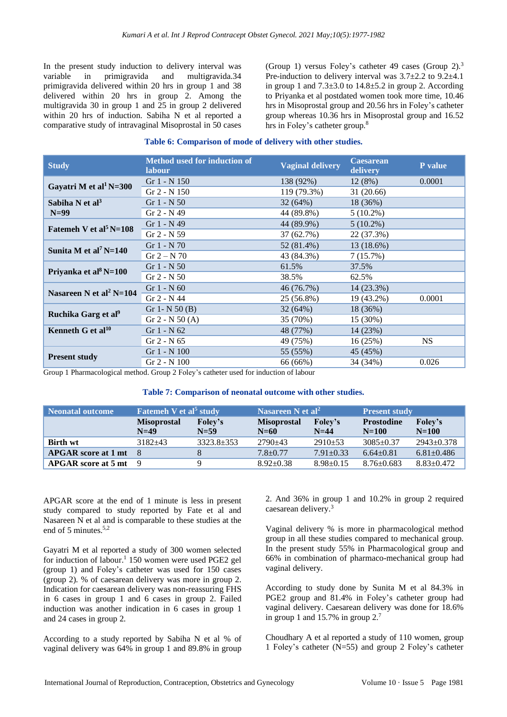In the present study induction to delivery interval was variable in primigravida and multigravida.34 primigravida delivered within 20 hrs in group 1 and 38 delivered within 20 hrs in group 2. Among the multigravida 30 in group 1 and 25 in group 2 delivered within 20 hrs of induction. Sabiha N et al reported a comparative study of intravaginal Misoprostal in 50 cases (Group 1) versus Foley's catheter 49 cases (Group 2).<sup>3</sup> Pre-induction to delivery interval was 3.7±2.2 to 9.2±4.1 in group 1 and  $7.3\pm3.0$  to  $14.8\pm5.2$  in group 2. According to Priyanka et al postdated women took more time, 10.46 hrs in Misoprostal group and 20.56 hrs in Foley's catheter group whereas 10.36 hrs in Misoprostal group and 16.52 hrs in Foley's catheter group.<sup>8</sup>

## **Table 6: Comparison of mode of delivery with other studies.**

| <b>Study</b>                        | <b>Method used for induction of</b><br>labour | <b>Vaginal delivery</b> | <b>Caesarean</b><br>delivery | P value   |
|-------------------------------------|-----------------------------------------------|-------------------------|------------------------------|-----------|
| Gayatri M et al <sup>1</sup> N=300  | Gr $1 - N$ 150                                | 138 (92%)               | 12(8%)                       | 0.0001    |
|                                     | $Gr 2 - N 150$                                | 119 (79.3%)             | 31 (20.66)                   |           |
| Sabiha N et $al3$                   | Gr $1 - N$ 50                                 | 32(64%)                 | 18 (36%)                     |           |
| $N=99$                              | $Gr 2 - N 49$                                 | 44 (89.8%)              | $5(10.2\%)$                  |           |
| Fatemen V et al <sup>5</sup> N=108  | $Gr 1 - N 49$                                 | 44 (89.9%)              | $5(10.2\%)$                  |           |
|                                     | $Gr 2 - N 59$                                 | 37 (62.7%)              | 22 (37.3%)                   |           |
| Sunita M et al <sup>7</sup> N=140   | Gr $1 - N$ 70                                 | 52 (81.4%)              | 13 (18.6%)                   |           |
|                                     | $Gr 2 - N 70$                                 | 43 (84.3%)              | 7(15.7%)                     |           |
| Priyanka et al <sup>8</sup> N=100   | $Gr 1 - N 50$                                 | 61.5%                   | 37.5%                        |           |
|                                     | $Gr 2 - N 50$                                 | 38.5%                   | 62.5%                        |           |
| Nasareen N et al <sup>2</sup> N=104 | $Gr 1 - N 60$                                 | 46 (76.7%)              | 14 (23.3%)                   |           |
|                                     | $Gr 2 - N 44$                                 | 25 (56.8%)              | 19 (43.2%)                   | 0.0001    |
| Ruchika Garg et al <sup>9</sup>     | Gr 1- N $50(B)$                               | 32(64%)                 | 18 (36%)                     |           |
|                                     | Gr $2 - N 50 (A)$                             | 35 (70%)                | $15(30\%)$                   |           |
| Kenneth G et al $^{10}$             | $Gr 1 - N 62$                                 | 48 (77%)                | 14 (23%)                     |           |
|                                     | $Gr 2 - N 65$                                 | 49 (75%)                | 16(25%)                      | <b>NS</b> |
|                                     | Gr 1 - N 100                                  | 55 (55%)                | 45 (45%)                     |           |
| <b>Present study</b>                | Gr 2 - N 100                                  | 66 (66%)                | 34 (34%)                     | 0.026     |

Group 1 Pharmacological method. Group 2 Foley's catheter used for induction of labour

#### **Table 7: Comparison of neonatal outcome with other studies.**

| <b>Neonatal outcome</b>    | <b>Fatemeh V et al<sup>5</sup> study</b> |                   | Nasareen N et al <sup>2</sup> |                            | <b>Present study</b>           |                      |
|----------------------------|------------------------------------------|-------------------|-------------------------------|----------------------------|--------------------------------|----------------------|
|                            | <b>Misoprostal</b><br>$N=49$             | Foley's<br>$N=59$ | <b>Misoprostal</b><br>$N=60$  | <b>Foley's</b><br>$N = 44$ | <b>Prostodine</b><br>$N = 100$ | Foley's<br>$N = 100$ |
| <b>Birth wt</b>            | $3182 + 43$                              | $3323.8 + 353$    | $2790+43$                     | $2910+53$                  | $3085+0.37$                    | $2943+0.378$         |
| <b>APGAR</b> score at 1 mt | - 8                                      |                   | $7.8 + 0.77$                  | $7.91 \pm 0.33$            | $6.64 \pm 0.81$                | $6.81 \pm 0.486$     |
| $APGAR score at 5 mt$ 9    |                                          |                   | $8.92 \pm 0.38$               | $8.98 \pm 0.15$            | $8.76 + 0.683$                 | $8.83 \pm 0.472$     |

APGAR score at the end of 1 minute is less in present study compared to study reported by Fate et al and Nasareen N et al and is comparable to these studies at the end of 5 minutes.<sup>5,2</sup>

Gayatri M et al reported a study of 300 women selected for induction of labour.<sup>1</sup> 150 women were used PGE2 gel (group 1) and Foley's catheter was used for 150 cases (group 2). % of caesarean delivery was more in group 2. Indication for caesarean delivery was non-reassuring FHS in 6 cases in group 1 and 6 cases in group 2. Failed induction was another indication in 6 cases in group 1 and 24 cases in group 2.

According to a study reported by Sabiha N et al % of vaginal delivery was 64% in group 1 and 89.8% in group 2. And 36% in group 1 and 10.2% in group 2 required caesarean delivery.<sup>3</sup>

Vaginal delivery % is more in pharmacological method group in all these studies compared to mechanical group. In the present study 55% in Pharmacological group and 66% in combination of pharmaco-mechanical group had vaginal delivery.

According to study done by Sunita M et al 84.3% in PGE2 group and 81.4% in Foley's catheter group had vaginal delivery. Caesarean delivery was done for 18.6% in group 1 and 15.7% in group 2.<sup>7</sup>

Choudhary A et al reported a study of 110 women, group 1 Foley's catheter (N=55) and group 2 Foley's catheter